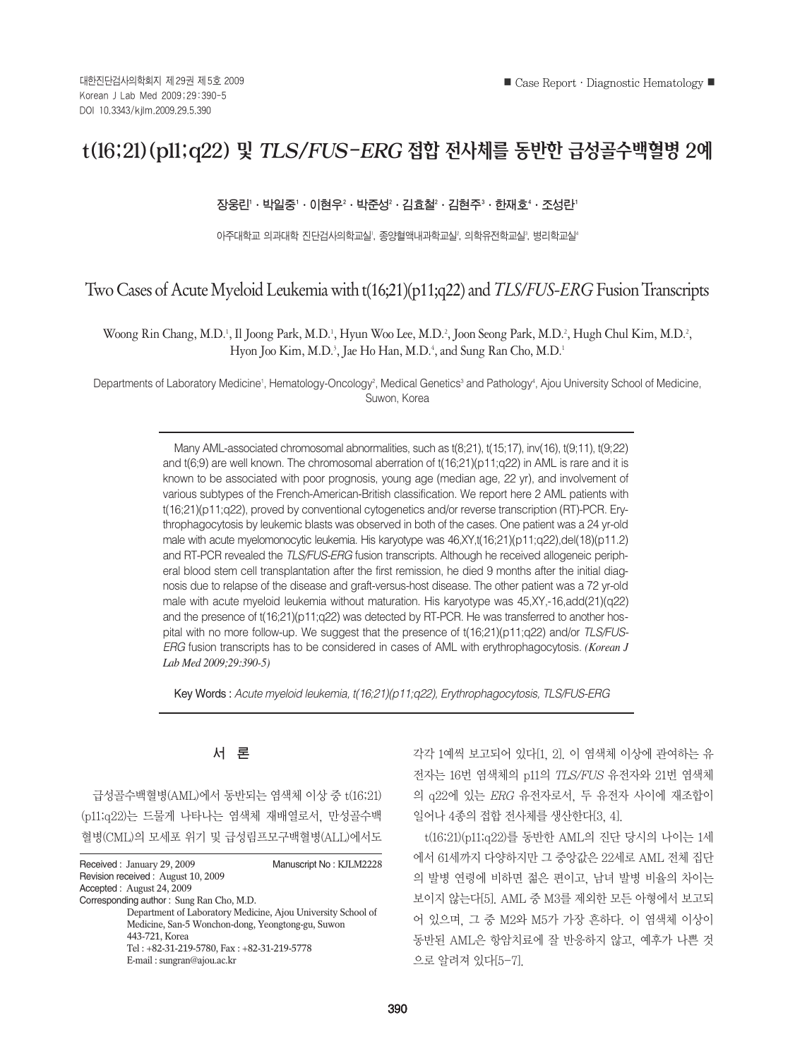# t(16;21)(p11;q22) 및 TLS/FUS-ERG 접합 전사체를 동반한 급성골수백혈병 2예

# 장웅린'ㆍ박일중'ㆍ이현우²ㆍ박준성'ㆍ김효철'ㆍ김현주'ㆍ한재호'ㆍ조성란'

아주대학교 의과대학 진단검사의학교실', 종양혈액내과학교실', 의학유전학교실', 병리학교실'

# Two Cases of Acute Myeloid Leukemia with t(16;21)(p11;q22) and *TLS/FUS-ERG* Fusion Transcripts

Woong Rin Chang, M.D.<sup>1</sup>, Il Joong Park, M.D.<sup>1</sup>, Hyun Woo Lee, M.D.<sup>2</sup>, Joon Seong Park, M.D.<sup>2</sup>, Hugh Chul Kim, M.D.<sup>2</sup>, Hyon Joo Kim, M.D.<sup>3</sup>, Jae Ho Han, M.D.<sup>4</sup>, and Sung Ran Cho, M.D.<sup>1</sup>

Departments of Laboratory Medicine<sup>1</sup>, Hematology-Oncology<sup>2</sup>, Medical Genetics<sup>3</sup> and Pathology<sup>4</sup>, Ajou University School of Medicine, Suwon, Korea

> Many AML-associated chromosomal abnormalities, such as t(8;21), t(15;17), inv(16), t(9;11), t(9;22) and  $t(6;9)$  are well known. The chromosomal aberration of  $t(16;21)(p11;q22)$  in AML is rare and it is known to be associated with poor prognosis, young age (median age, 22 yr), and involvement of various subtypes of the French-American-British classification. We report here 2 AML patients with t(16;21)(p11;q22), proved by conventional cytogenetics and/or reverse transcription (RT)-PCR. Erythrophagocytosis by leukemic blasts was observed in both of the cases. One patient was a 24 yr-old male with acute myelomonocytic leukemia. His karyotype was 46,XY,t(16;21)(p11;q22),del(18)(p11.2) and RT-PCR revealed the *TLS/FUS-ERG* fusion transcripts. Although he received allogeneic peripheral blood stem cell transplantation after the first remission, he died 9 months after the initial diagnosis due to relapse of the disease and graft-versus-host disease. The other patient was a 72 yr-old male with acute myeloid leukemia without maturation. His karyotype was 45,XY,-16,add(21)(q22) and the presence of  $t(16;21)(p11;q22)$  was detected by RT-PCR. He was transferred to another hospital with no more follow-up. We suggest that the presence of t(16;21)(p11;q22) and/or *TLS/FUS-ERG* fusion transcripts has to be considered in cases of AML with erythrophagocytosis. *(Korean J Lab Med 2009;29:390-5)*

Key Words : *Acute myeloid leukemia, t(16;21)(p11;q22), Erythrophagocytosis, TLS/FUS-ERG*

# 서 론

급성골수백혈병(AML)에서 동반되는 염색체 이상 중 t(16;21) (p11;q22)는 드물게 나타나는 염색체 재배열로서, 만성골수백 혈병(CML)의 모세포 위기 및 급성림프모구백혈병(ALL)에서도

| Received: January 29, 2009                        | Manuscript No: KJLM2228                                      |
|---------------------------------------------------|--------------------------------------------------------------|
| Revision received: August 10, 2009                |                                                              |
| Accepted: August 24, 2009                         |                                                              |
| Corresponding author: Sung Ran Cho, M.D.          |                                                              |
|                                                   | Department of Laboratory Medicine, Ajou University School of |
| Medicine, San-5 Wonchon-dong, Yeongtong-gu, Suwon |                                                              |
| 443-721, Korea                                    |                                                              |
| Tel: +82-31-219-5780, Fax: +82-31-219-5778        |                                                              |
| E-mail: sungran@ajou.ac.kr                        |                                                              |
|                                                   |                                                              |

각각 1예씩 보고되어 있다[1, 2]. 이 염색체 이상에 관여하는 유 전자는 16번 염색체의 p11의 TLS/FUS 유전자와 21번 염색체 의 q22에 있는 ERG 유전자로서, 두 유전자 사이에 재조합이 일어나 4종의 접합 전사체를 생산한다[3, 4].

t(16;21)(p11;q22)를 동반한 AML의 진단 당시의 나이는 1세 에서 61세까지 다양하지만 그 중앙값은 22세로 AML 전체 집단 의 발병 연령에 비하면 젊은 편이고, 남녀 발병 비율의 차이는 보이지 않는다[5]. AML 중 M3를 제외한 모든 아형에서 보고되 어 있으며, 그 중 M2와 M5가 가장 흔하다. 이 염색체 이상이 동반된 AML은 항암치료에 잘 반응하지 않고, 예후가 나쁜 것 으로 알려져 있다[5-7].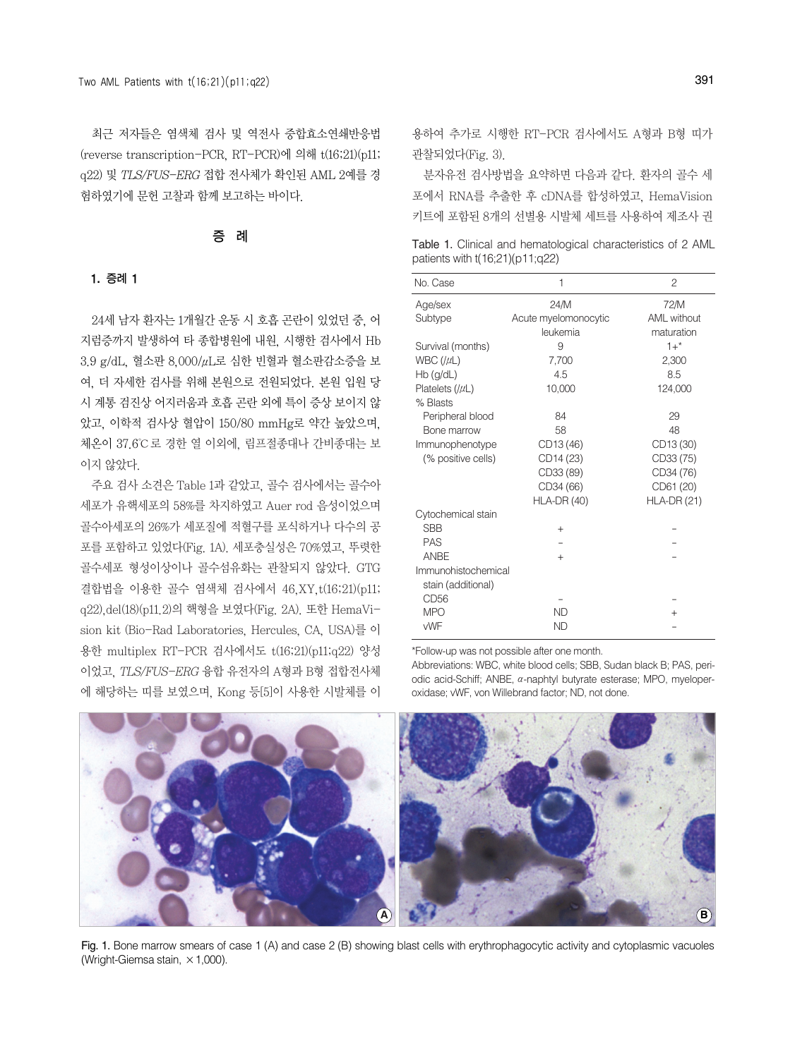최근 저자들은 염색체 검사 및 역전사 중합효소연쇄반응법 (reverse transcription-PCR, RT-PCR)에 의해 t(16;21)(p11; q22) 및 TLS/FUS-ERG 접합 전사체가 확인된 AML 2예를 경 험하였기에 문헌 고찰과 함께 보고하는 바이다.

# 증 례

#### 1. 증례 1

24세 남자 환자는 1개월간 운동 시 호흡 곤란이 있었던 중, 어 지럼증까지 발생하여 타 종합병원에 내원, 시행한 검사에서 Hb 3.9 g/dL, 혈소판 8,000/μL로 심한 빈혈과 혈소판감소증을 보 여, 더 자세한 검사를 위해 본원으로 전원되었다. 본원 입원 당 시 계통 검진상 어지러움과 호흡 곤란 외에 특이 증상 보이지 않 았고, 이학적 검사상 혈압이 150/80 mmHg로 약간 높았으며, 체온이 37.6℃로 경한 열 이외에, 림프절종대나 간비종대는 보 이지 않았다.

주요 검사 소견은 Table 1과 같았고, 골수 검사에서는 골수아 세포가 유핵세포의 58%를 차지하였고 Auer rod 음성이었으며 골수아세포의 26%가 세포질에 적혈구를 포식하거나 다수의 공 포를 포함하고 있었다(Fig. 1A). 세포충실성은 70%였고, 뚜렷한 골수세포 형성이상이나 골수섬유화는 관찰되지 않았다. GTG 결합법을 이용한 골수 염색체 검사에서 46,XY,t(16;21)(p11; q22),del(18)(p11.2)의 핵형을 보였다(Fig. 2A). 또한 HemaVision kit (Bio-Rad Laboratories, Hercules, CA, USA)를 이 용한 multiplex RT-PCR 검사에서도 t(16;21)(p11;q22) 양성 이었고, TLS/FUS-ERG 융합 유전자의 A형과 B형 접합전사체 에 해당하는 띠를 보였으며, Kong 등[5]이 사용한 시발체를 이

용하여 추가로 시행한 RT-PCR 검사에서도 A형과 B형 띠가 관찰되었다(Fig. 3).

분자유전 검사방법을 요약하면 다음과 같다. 환자의 골수 세 포에서 RNA를 추출한 후 cDNA를 합성하였고, HemaVision 키트에 포함된 8개의 선별용 시발체 세트를 사용하여 제조사 권

Table 1. Clinical and hematological characteristics of 2 AML patients with t(16;21)(p11;q22)

| No. Case                                  | 1                    | $\overline{c}$     |
|-------------------------------------------|----------------------|--------------------|
| Age/sex                                   | 24/M                 | 72/M               |
| Subtype                                   | Acute myelomonocytic | AML without        |
|                                           | leukemia             | maturation         |
| Survival (months)                         | 9                    | $1 + *$            |
| WBC $(\mu L)$                             | 7,700                | 2,300              |
| Hb (g/dL)                                 | 4.5                  | 8.5                |
| Platelets $( \mu )$                       | 10,000               | 124,000            |
| % Blasts                                  |                      |                    |
| Peripheral blood                          | 84                   | 29                 |
| Bone marrow                               | 58                   | 48                 |
| Immunophenotype                           | CD13 (46)            | CD13 (30)          |
| (% positive cells)                        | CD14 (23)            | CD33 (75)          |
|                                           | CD33 (89)            | CD34 (76)          |
|                                           | CD34 (66)            | CD61 (20)          |
|                                           | <b>HLA-DR (40)</b>   | <b>HLA-DR (21)</b> |
| Cytochemical stain                        |                      |                    |
| <b>SBB</b>                                | $^{+}$               |                    |
| <b>PAS</b>                                |                      |                    |
| ANBE                                      | $^{+}$               |                    |
| Immunohistochemical<br>stain (additional) |                      |                    |
| CD <sub>56</sub>                          |                      |                    |
| <b>MPO</b>                                | <b>ND</b>            | $^{+}$             |
| vWF                                       | <b>ND</b>            |                    |
|                                           |                      |                    |

\*Follow-up was not possible after one month.

Abbreviations: WBC, white blood cells; SBB, Sudan black B; PAS, periodic acid-Schiff; ANBE, α-naphtyl butyrate esterase; MPO, myeloperoxidase; vWF, von Willebrand factor; ND, not done.



Fig. 1. Bone marrow smears of case 1 (A) and case 2 (B) showing blast cells with erythrophagocytic activity and cytoplasmic vacuoles (Wright-Giemsa stain,  $\times$  1,000).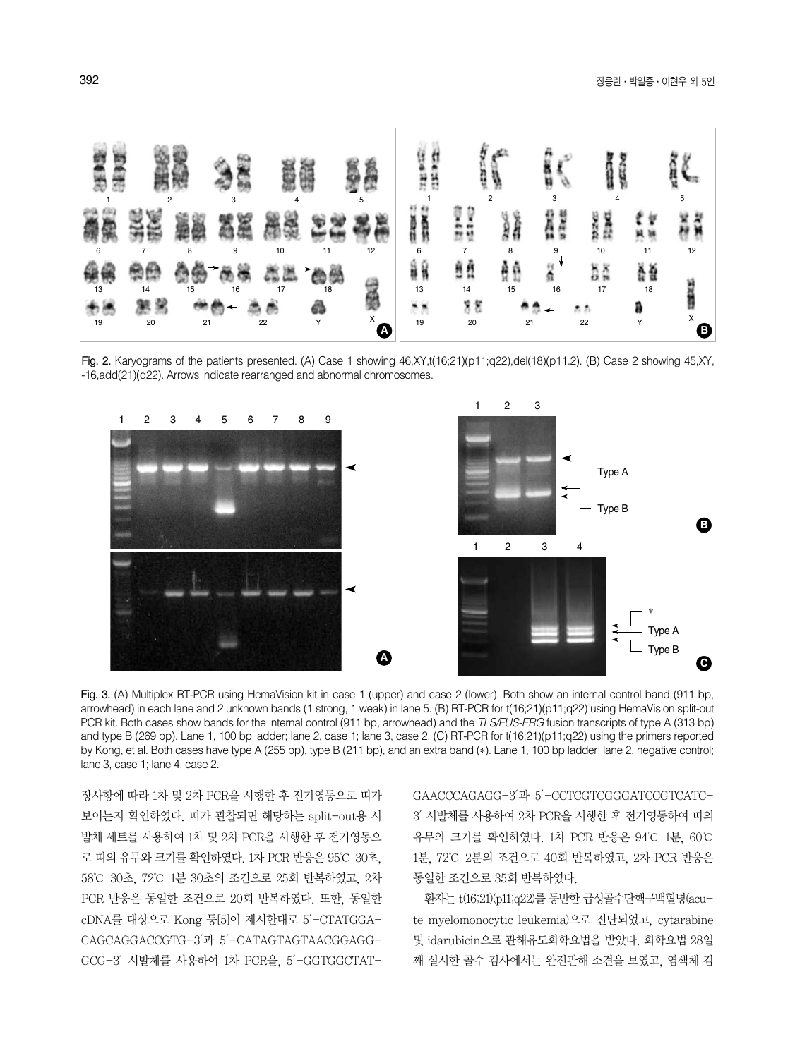

Fig. 2. Karyograms of the patients presented. (A) Case 1 showing 46,XY,t(16;21)(p11;q22),del(18)(p11.2). (B) Case 2 showing 45,XY, -16,add(21)(q22). Arrows indicate rearranged and abnormal chromosomes.



Fig. 3. (A) Multiplex RT-PCR using HemaVision kit in case 1 (upper) and case 2 (lower). Both show an internal control band (911 bp, arrowhead) in each lane and 2 unknown bands (1 strong, 1 weak) in lane 5. (B) RT-PCR for t(16;21)(p11;q22) using HemaVision split-out PCR kit. Both cases show bands for the internal control (911 bp, arrowhead) and the *TLS/FUS-ERG* fusion transcripts of type A (313 bp) and type B (269 bp). Lane 1, 100 bp ladder; lane 2, case 1; lane 3, case 2. (C) RT-PCR for t(16;21)(p11;q22) using the primers reported by Kong, et al. Both cases have type A (255 bp), type B (211 bp), and an extra band (\*). Lane 1, 100 bp ladder; lane 2, negative control; lane 3, case 1; lane 4, case 2.

장사항에 따라 1차 및 2차 PCR을 시행한 후 전기영동으로 띠가 보이는지 확인하였다. 띠가 관찰되면 해당하는 split-out용 시 발체 세트를 사용하여 1차 및 2차 PCR을 시행한 후 전기영동으 로 띠의 유무와 크기를 확인하였다. 1차 PCR 반응은 95℃ 30초, 58℃ 30초, 72℃ 1분 30초의 조건으로 25회 반복하였고, 2차 PCR 반응은 동일한 조건으로 20회 반복하였다. 또한, 동일한 cDNA를 대상으로 Kong 등[5]이 제시한대로 5′-CTATGGA-CAGCAGGACCGTG-3′과 5′-CATAGTAGTAACGGAGG-GCG-3′시발체를 사용하여 1차 PCR을, 5′-GGTGGCTAT- GAACCCAGAGG-3′과 5′-CCTCGTCGGGATCCGTCATC-3′시발체를 사용하여 2차 PCR을 시행한 후 전기영동하여 띠의 유무와 크기를 확인하였다. 1차 PCR 반응은 94℃ 1분, 60℃ 1분, 72℃ 2분의 조건으로 40회 반복하였고, 2차 PCR 반응은 동일한 조건으로 35회 반복하였다.

환자는 t(16;21)(p11;q22)를 동반한 급성골수단핵구백혈병(acute myelomonocytic leukemia)으로 진단되었고, cytarabine 및 idarubicin으로 관해유도화학요법을 받았다. 화학요법 28일 째 실시한 골수 검사에서는 완전관해 소견을 보였고, 염색체 검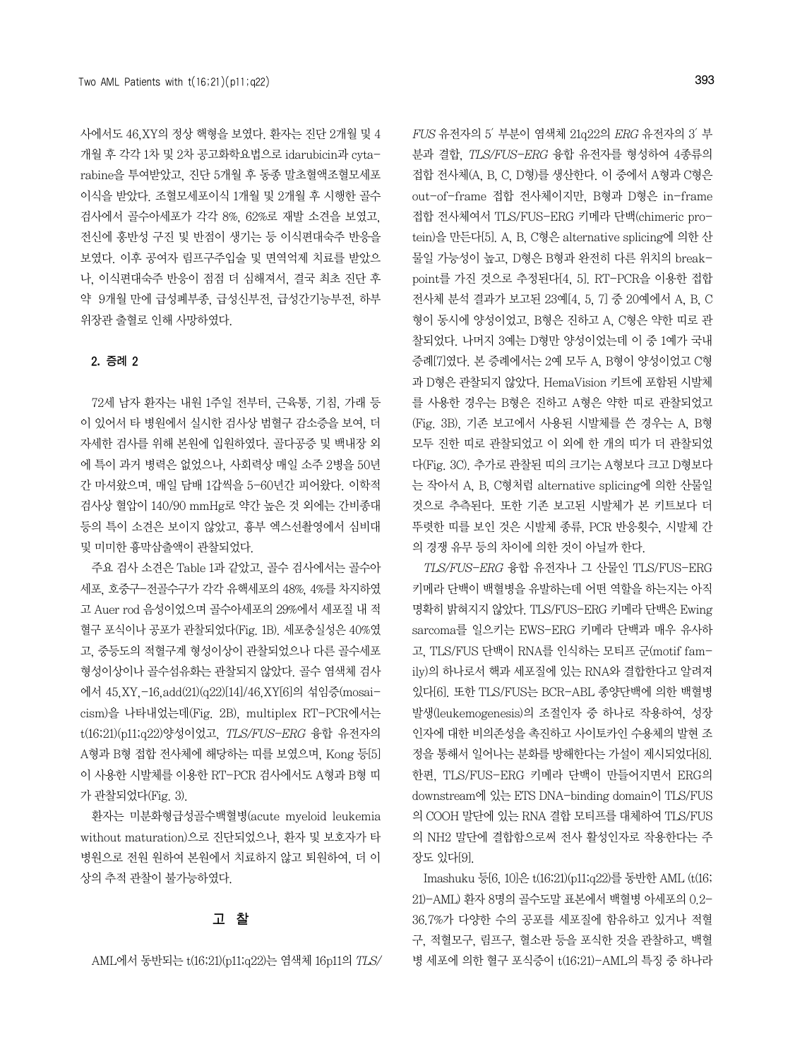사에서도 46,XY의 정상 핵형을 보였다. 환자는 진단 2개월 및 4 개월 후 각각 1차 및 2차 공고화학요법으로 idarubicin과 cytarabine을 투여받았고, 진단 5개월 후 동종 말초혈액조혈모세포 이식을 받았다. 조혈모세포이식 1개월 및 2개월 후 시행한 골수 검사에서 골수아세포가 각각 8%, 62%로 재발 소견을 보였고, 전신에 홍반성 구진 및 반점이 생기는 등 이식편대숙주 반응을 보였다. 이후 공여자 림프구주입술 및 면역억제 치료를 받았으 나, 이식편대숙주 반응이 점점 더 심해져서, 결국 최초 진단 후 약 9개월 만에 급성폐부종, 급성신부전, 급성간기능부전, 하부 위장관 출혈로 인해 사망하였다.

## 2. 증례 2

72세 남자 환자는 내원 1주일 전부터, 근육통, 기침, 가래 등 이 있어서 타 병원에서 실시한 검사상 범혈구 감소증을 보여, 더 자세한 검사를 위해 본원에 입원하였다. 골다공증 및 백내장 외 에 특이 과거 병력은 없었으나, 사회력상 매일 소주 2병을 50년 간 마셔왔으며, 매일 담배 1갑씩을 5-60년간 피어왔다. 이학적 검사상 혈압이 140/90 mmHg로 약간 높은 것 외에는 간비종대 등의 특이 소견은 보이지 않았고, 흉부 엑스선촬영에서 심비대 및 미미한 흉막삼출액이 관찰되었다.

주요 검사 소견은 Table 1과 같았고, 골수 검사에서는 골수아 세포, 호중구-전골수구가 각각 유핵세포의 48%, 4%를 차지하였 고 Auer rod 음성이었으며 골수아세포의 29%에서 세포질 내 적 혈구 포식이나 공포가 관찰되었다(Fig. 1B). 세포충실성은 40%였 고, 중등도의 적혈구계 형성이상이 관찰되었으나 다른 골수세포 형성이상이나 골수섬유화는 관찰되지 않았다. 골수 염색체 검사 에서 45,XY,-16,add(21)(q22)[14]/46,XY[6]의 섞임증(mosaicism)을 나타내었는데(Fig. 2B), multiplex RT-PCR에서는 t(16;21)(p11;q22)양성이었고, TLS/FUS-ERG 융합 유전자의 A형과 B형 접합 전사체에 해당하는 띠를 보였으며, Kong 등[5] 이 사용한 시발체를 이용한 RT-PCR 검사에서도 A형과 B형 띠 가 관찰되었다(Fig. 3).

환자는 미분화형급성골수백혈병(acute myeloid leukemia without maturation)으로 진단되었으나, 환자 및 보호자가 타 병원으로 전원 원하여 본원에서 치료하지 않고 퇴원하여, 더 이 상의 추적 관찰이 불가능하였다.

## 고 찰

 $FUS$  유전자의 5' 부분이 염색체 21q22의 ERG 유전자의 3' 부 분과 결합, TLS/FUS-ERG 융합 유전자를 형성하여 4종류의 접합 전사체(A, B, C, D형)를 생산한다. 이 중에서 A형과 C형은 out-of-frame 접합 전사체이지만, B형과 D형은 in-frame 접합 전사체여서 TLS/FUS-ERG 키메라 단백(chimeric protein)을 만든다[5]. A, B, C형은 alternative splicing에 의한 산 물일 가능성이 높고, D형은 B형과 완전히 다른 위치의 breakpoint를 가진 것으로 추정된다[4, 5]. RT-PCR을 이용한 접합 전사체 분석 결과가 보고된 23예[4, 5, 7] 중 20예에서 A, B, C 형이 동시에 양성이었고, B형은 진하고 A, C형은 약한 띠로 관 찰되었다. 나머지 3예는 D형만 양성이었는데 이 중 1예가 국내 증례[7]였다. 본 증례에서는 2예 모두 A, B형이 양성이었고 C형 과 D형은 관찰되지 않았다. HemaVision 키트에 포함된 시발체 를 사용한 경우는 B형은 진하고 A형은 약한 띠로 관찰되었고 (Fig. 3B), 기존 보고에서 사용된 시발체를 쓴 경우는 A, B형 모두 진한 띠로 관찰되었고 이 외에 한 개의 띠가 더 관찰되었 다(Fig. 3C). 추가로 관찰된 띠의 크기는 A형보다 크고 D형보다 는 작아서 A, B, C형처럼 alternative splicing에 의한 산물일 것으로 추측된다. 또한 기존 보고된 시발체가 본 키트보다 더 뚜렷한 띠를 보인 것은 시발체 종류, PCR 반응횟수, 시발체 간 의 경쟁 유무 등의 차이에 의한 것이 아닐까 한다.

TLS/FUS-ERG 융합 유전자나 그 산물인 TLS/FUS-ERG 키메라 단백이 백혈병을 유발하는데 어떤 역할을 하는지는 아직 명확히 밝혀지지 않았다. TLS/FUS-ERG 키메라 단백은 Ewing sarcoma를 일으키는 EWS-ERG 키메라 단백과 매우 유사하 고, TLS/FUS 단백이 RNA를 인식하는 모티프 군(motif family)의 하나로서 핵과 세포질에 있는 RNA와 결합한다고 알려져 있다[6]. 또한 TLS/FUS는 BCR-ABL 종양단백에 의한 백혈병 발생(leukemogenesis)의 조절인자 중 하나로 작용하여, 성장 인자에 대한 비의존성을 촉진하고 사이토카인 수용체의 발현 조 정을 통해서 일어나는 분화를 방해한다는 가설이 제시되었다[8]. 한편, TLS/FUS-ERG 키메라 단백이 만들어지면서 ERG의 downstream에 있는 ETS DNA-binding domain이 TLS/FUS 의 COOH 말단에 있는 RNA 결합 모티프를 대체하여 TLS/FUS 의 NH2 말단에 결합함으로써 전사 활성인자로 작용한다는 주 장도 있다[9].

Imashuku 등[6, 10]은 t(16;21)(p11;q22)를 동반한 AML (t(16; 21)-AML) 환자 8명의 골수도말 표본에서 백혈병 아세포의 0.2- 36.7%가 다양한 수의 공포를 세포질에 함유하고 있거나 적혈 구, 적혈모구, 림프구, 혈소판 등을 포식한 것을 관찰하고, 백혈 병 세포에 의한 혈구 포식증이 t(16;21)-AML의 특징 중 하나라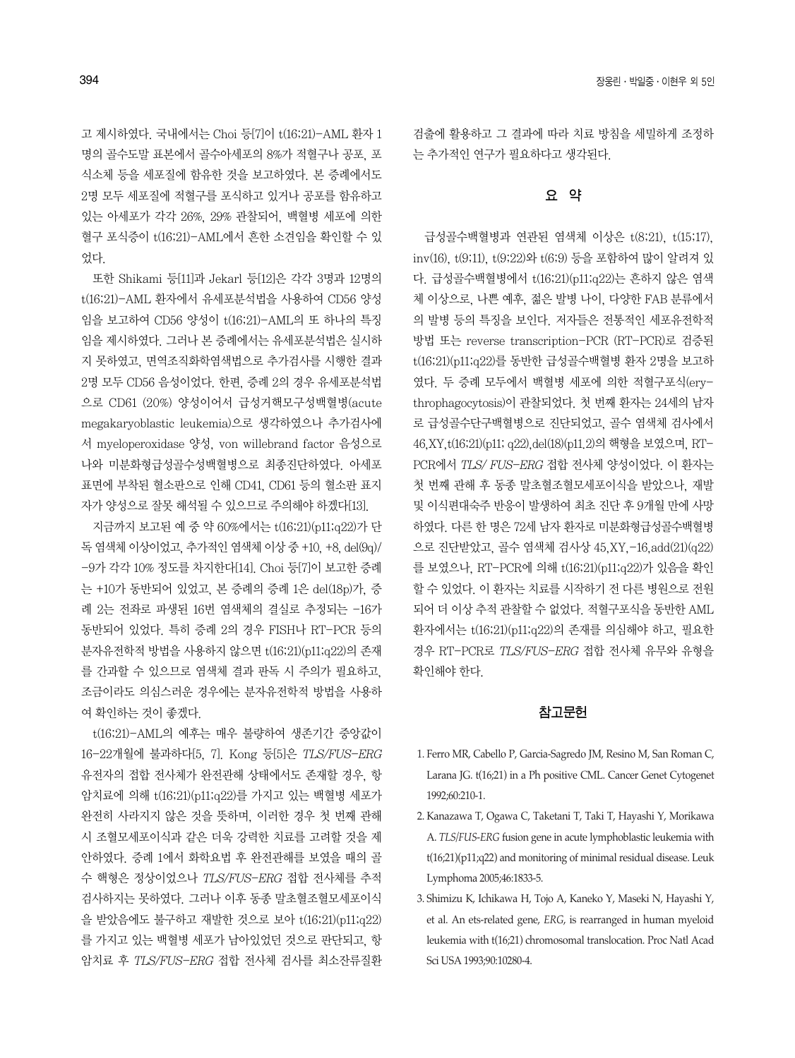고 제시하였다. 국내에서는 Choi 등[7]이 t(16;21)-AML 환자 1 명의 골수도말 표본에서 골수아세포의 8%가 적혈구나 공포, 포 식소체 등을 세포질에 함유한 것을 보고하였다. 본 증례에서도 2명 모두 세포질에 적혈구를 포식하고 있거나 공포를 함유하고 있는 아세포가 각각 26%, 29% 관찰되어, 백혈병 세포에 의한 혈구 포식증이 t(16;21)-AML에서 흔한 소견임을 확인할 수 있 었다.

또한 Shikami 등[11]과 Jekarl 등[12]은 각각 3명과 12명의 t(16;21)-AML 환자에서 유세포분석법을 사용하여 CD56 양성 임을 보고하여 CD56 양성이 t(16;21)-AML의 또 하나의 특징 임을 제시하였다. 그러나 본 증례에서는 유세포분석법은 실시하 지 못하였고, 면역조직화학염색법으로 추가검사를 시행한 결과 2명 모두 CD56 음성이었다. 한편, 증례 2의 경우 유세포분석법 으로 CD61 (20%) 양성이어서 급성거핵모구성백혈병(acute megakaryoblastic leukemia)으로 생각하였으나 추가검사에 서 myeloperoxidase 양성, von willebrand factor 음성으로 나와 미분화형급성골수성백혈병으로 최종진단하였다. 아세포 표면에 부착된 혈소판으로 인해 CD41, CD61 등의 혈소판 표지 자가 양성으로 잘못 해석될 수 있으므로 주의해야 하겠다[13].

지금까지 보고된 예 중 약 60%에서는 t(16;21)(p11;q22)가 단 독 염색체 이상이었고, 추가적인 염색체 이상 중 +10, +8, del(9q)/ -9가 각각 10% 정도를 차지한다[14]. Choi 등[7]이 보고한 증례 는 +10가 동반되어 있었고, 본 증례의 증례 1은 del(18p)가, 증 례 2는 전좌로 파생된 16번 염색체의 결실로 추정되는 -16가 동반되어 있었다. 특히 증례 2의 경우 FISH나 RT-PCR 등의 분자유전학적 방법을 사용하지 않으면 t(16;21)(p11;q22)의 존재 를 간과할 수 있으므로 염색체 결과 판독 시 주의가 필요하고, 조금이라도 의심스러운 경우에는 분자유전학적 방법을 사용하 여 확인하는 것이 좋겠다.

t(16;21)-AML의 예후는 매우 불량하여 생존기간 중앙값이 16-22개월에 불과하다[5, 7]. Kong 등[5]은 TLS/FUS-ERG 유전자의 접합 전사체가 완전관해 상태에서도 존재할 경우, 항 암치료에 의해 t(16;21)(p11;q22)를 가지고 있는 백혈병 세포가 완전히 사라지지 않은 것을 뜻하며, 이러한 경우 첫 번째 관해 시 조혈모세포이식과 같은 더욱 강력한 치료를 고려할 것을 제 안하였다. 증례 1에서 화학요법 후 완전관해를 보였을 때의 골 수 핵형은 정상이었으나 TLS/FUS-ERG 접합 전사체를 추적 검사하지는 못하였다. 그러나 이후 동종 말초혈조혈모세포이식 을 받았음에도 불구하고 재발한 것으로 보아 t(16;21)(p11;q22) 를 가지고 있는 백혈병 세포가 남아있었던 것으로 판단되고, 항 암치료 후 TLS/FUS-ERG 접합 전사체 검사를 최소잔류질환 검출에 활용하고 그 결과에 따라 치료 방침을 세밀하게 조정하 는 추가적인 연구가 필요하다고 생각된다.

# 요 약

급성골수백혈병과 연관된 염색체 이상은 t(8;21), t(15;17), inv(16), t(9;11), t(9;22)와 t(6;9) 등을 포함하여 많이 알려져 있 다. 급성골수백혈병에서 t(16;21)(p11;q22)는 흔하지 않은 염색 체 이상으로, 나쁜 예후, 젊은 발병 나이, 다양한 FAB 분류에서 의 발병 등의 특징을 보인다. 저자들은 전통적인 세포유전학적 방법 또는 reverse transcription-PCR (RT-PCR)로 검증된 t(16;21)(p11;q22)를 동반한 급성골수백혈병 환자 2명을 보고하 였다. 두 증례 모두에서 백혈병 세포에 의한 적혈구포식(erythrophagocytosis)이 관찰되었다. 첫 번째 환자는 24세의 남자 로 급성골수단구백혈병으로 진단되었고, 골수 염색체 검사에서 46,XY,t(16;21)(p11; q22),del(18)(p11.2)의핵형을보였으며, RT-PCR에서 TLS/ FUS-ERG 접합 전사체 양성이었다. 이 환자는 첫 번째 관해 후 동종 말초혈조혈모세포이식을 받았으나, 재발 및 이식편대숙주 반응이 발생하여 최초 진단 후 9개월 만에 사망 하였다. 다른 한 명은 72세 남자 환자로 미분화형급성골수백혈병 으로 진단받았고, 골수 염색체 검사상 45,XY,-16,add(21)(q22) 를 보였으나, RT-PCR에 의해 t(16;21)(p11;q22)가 있음을 확인 할 수 있었다. 이 환자는 치료를 시작하기 전 다른 병원으로 전원 되어 더 이상 추적 관찰할 수 없었다. 적혈구포식을 동반한 AML 환자에서는 t(16;21)(p11;q22)의 존재를 의심해야 하고, 필요한 경우 RT-PCR로 TLS/FUS-ERG 접합 전사체 유무와 유형을 확인해야 한다.

### 참고문헌

- 1. Ferro MR, Cabello P, Garcia-Sagredo JM, Resino M, San Roman C, Larana JG. t(16;21) in a Ph positive CML. Cancer Genet Cytogenet 1992;60:210-1.
- 2. Kanazawa T, Ogawa C, Taketani T, Taki T, Hayashi Y, Morikawa A. *TLS/FUS-ERG* fusion gene in acute lymphoblastic leukemia with t(16;21)(p11;q22) and monitoring of minimal residual disease. Leuk Lymphoma 2005;46:1833-5.
- 3. Shimizu K, Ichikawa H, Tojo A, Kaneko Y, Maseki N, Hayashi Y, et al. An ets-related gene, *ERG*, is rearranged in human myeloid leukemia with t(16;21) chromosomal translocation. Proc Natl Acad Sci USA 1993;90:10280-4.